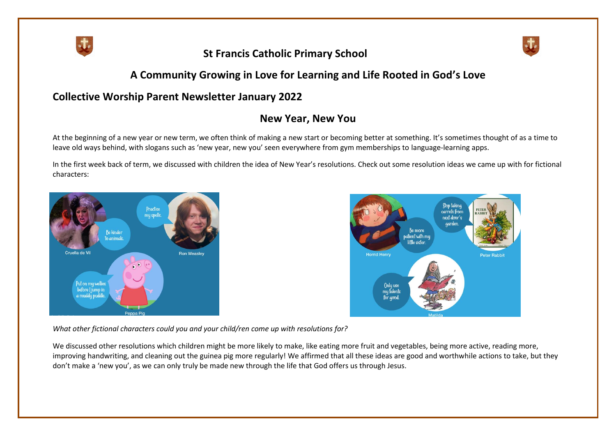

# **St Francis Catholic Primary School**



## **A Community Growing in Love for Learning and Life Rooted in God's Love**

### **Collective Worship Parent Newsletter January 2022**

### **New Year, New You**

At the beginning of a new year or new term, we often think of making a new start or becoming better at something. It's sometimes thought of as a time to leave old ways behind, with slogans such as 'new year, new you' seen everywhere from gym memberships to language-learning apps.

In the first week back of term, we discussed with children the idea of New Year's resolutions. Check out some resolution ideas we came up with for fictional characters:





*What other fictional characters could you and your child/ren come up with resolutions for?*

We discussed other resolutions which children might be more likely to make, like eating more fruit and vegetables, being more active, reading more, improving handwriting, and cleaning out the guinea pig more regularly! We affirmed that all these ideas are good and worthwhile actions to take, but they don't make a 'new you', as we can only truly be made new through the life that God offers us through Jesus.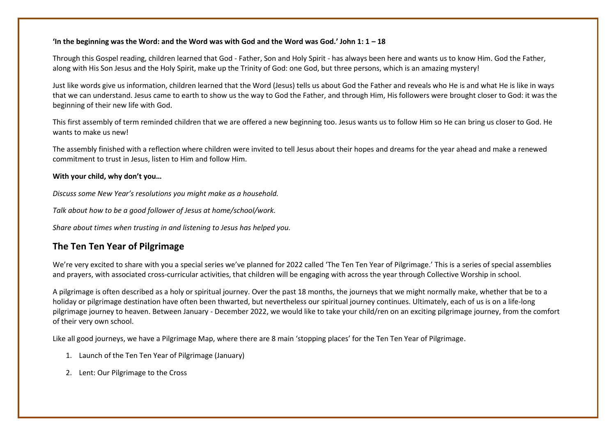#### **'In the beginning was the Word: and the Word was with God and the Word was God.' John 1: 1 – 18**

Through this Gospel reading, children learned that God - Father, Son and Holy Spirit - has always been here and wants us to know Him. God the Father, along with His Son Jesus and the Holy Spirit, make up the Trinity of God: one God, but three persons, which is an amazing mystery!

Just like words give us information, children learned that the Word (Jesus) tells us about God the Father and reveals who He is and what He is like in ways that we can understand. Jesus came to earth to show us the way to God the Father, and through Him, His followers were brought closer to God: it was the beginning of their new life with God.

This first assembly of term reminded children that we are offered a new beginning too. Jesus wants us to follow Him so He can bring us closer to God. He wants to make us new!

The assembly finished with a reflection where children were invited to tell Jesus about their hopes and dreams for the year ahead and make a renewed commitment to trust in Jesus, listen to Him and follow Him.

#### **With your child, why don't you…**

*Discuss some New Year's resolutions you might make as a household.*

*Talk about how to be a good follower of Jesus at home/school/work.*

*Share about times when trusting in and listening to Jesus has helped you.*

### **The Ten Ten Year of Pilgrimage**

We're very excited to share with you a special series we've planned for 2022 called 'The Ten Ten Year of Pilgrimage.' This is a series of special assemblies and prayers, with associated cross-curricular activities, that children will be engaging with across the year through Collective Worship in school.

A pilgrimage is often described as a holy or spiritual journey. Over the past 18 months, the journeys that we might normally make, whether that be to a holiday or pilgrimage destination have often been thwarted, but nevertheless our spiritual journey continues. Ultimately, each of us is on a life-long pilgrimage journey to heaven. Between January - December 2022, we would like to take your child/ren on an exciting pilgrimage journey, from the comfort of their very own school.

Like all good journeys, we have a Pilgrimage Map, where there are 8 main 'stopping places' for the Ten Ten Year of Pilgrimage.

- 1. Launch of the Ten Ten Year of Pilgrimage (January)
- 2. Lent: Our Pilgrimage to the Cross